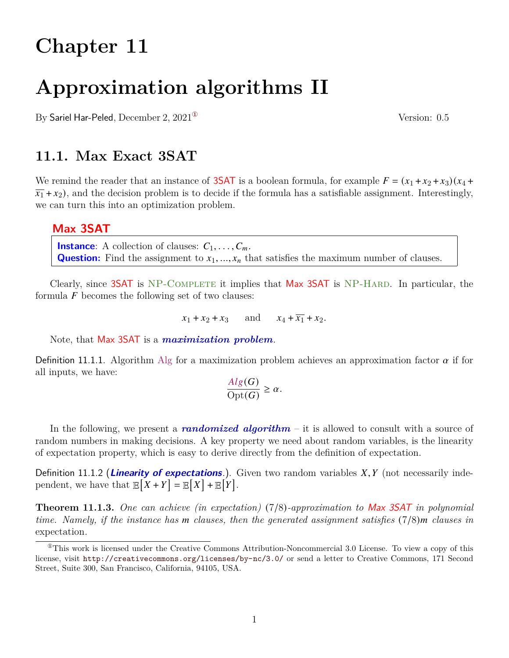# **Chapter 11**

# **Approximation algorithms II**

By Sariel Har-Peled, December 2,  $2021^{\circ}$  Version: 0.5

### **11.1. Max Exact 3SAT**

We remind the reader that an instance of **3SAT** is a boolean formula, for example  $F = (x_1 + x_2 + x_3)(x_4 +$  $\overline{x_1} + x_2$ , and the decision problem is to decide if the formula has a satisfiable assignment. Interestingly, we can turn this into an optimization problem.

#### **Max 3SAT**

**Instance**: A collection of clauses:  $C_1, \ldots, C_m$ . **Question:** Find the assignment to  $x_1, ..., x_n$  that satisfies the maximum number of clauses.

Clearly, since 3SAT is NP-COMPLETE it implies that Max 3SAT is NP-HARD. In particular, the formula  $F$  becomes the following set of two clauses:

 $x_1 + x_2 + x_3$  and  $x_4 + \overline{x_1} + x_2$ .

Note, that Max 3SAT is a *maximization problem*.

Definition 11.1.1. Algorithm Alg for a maximization problem achieves an approximation factor  $\alpha$  if for all inputs, we have:

$$
\frac{Alg(G)}{\mathrm{Opt}(G)} \ge \alpha.
$$

In the following, we present a *randomized algorithm* – it is allowed to consult with a source of random numbers in making decisions. A key property we need about random variables, is the linearity of expectation property, which is easy to derive directly from the definition of expectation.

Definition 11.1.2 (**Linearity of expectations**.). Given two random variables  $X, Y$  (not necessarily independent, we have that  $\mathbb{E}[X+Y] = \mathbb{E}[X] + \mathbb{E}[Y].$ 

<span id="page-0-1"></span>**Theorem 11.1.3.** *One can achieve (in expectation)* (7/8)*-approximation to* Max 3SAT *in polynomial time. Namely, if the instance has clauses, then the generated assignment satisfies* (7/8) *clauses in* expectation*.*

<span id="page-0-0"></span> $^{\circ}$ This work is licensed under the Creative Commons Attribution-Noncommercial 3.0 License. To view a copy of this license, visit <http://creativecommons.org/licenses/by-nc/3.0/> or send a letter to Creative Commons, 171 Second Street, Suite 300, San Francisco, California, 94105, USA.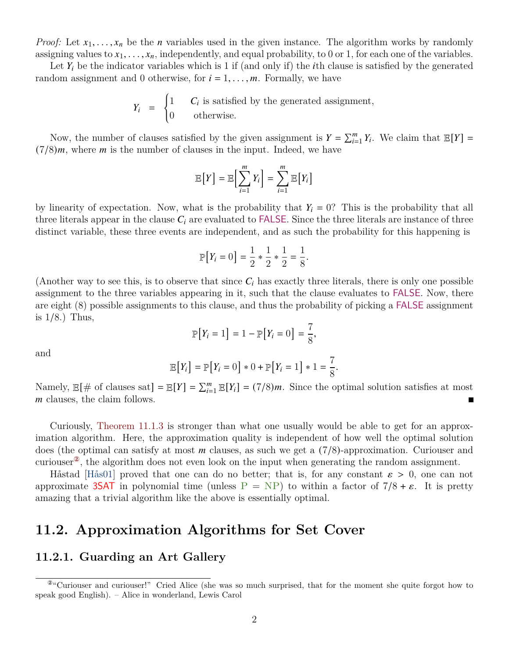*Proof:* Let  $x_1, \ldots, x_n$  be the *n* variables used in the given instance. The algorithm works by randomly assigning values to  $x_1, \ldots, x_n$ , independently, and equal probability, to 0 or 1, for each one of the variables.

Let  $Y_i$  be the indicator variables which is 1 if (and only if) the *i*th clause is satisfied by the generated random assignment and 0 otherwise, for  $i = 1, \ldots, m$ . Formally, we have

> $Y_i =$  $\begin{cases} 1 & C_i \text{ is satisfied by the generated assignment,} \end{cases}$ 0 otherwise.

Now, the number of clauses satisfied by the given assignment is  $Y = \sum_{i=1}^{m} Y_i$ . We claim that  $\mathbb{E}[Y] =$  $(7/8)m$ , where *m* is the number of clauses in the input. Indeed, we have

$$
\mathbb{E}[Y] = \mathbb{E}\Big[\sum_{i=1}^m Y_i\Big] = \sum_{i=1}^m \mathbb{E}[Y_i]
$$

by linearity of expectation. Now, what is the probability that  $Y_i = 0$ ? This is the probability that all three literals appear in the clause  $C_i$  are evaluated to FALSE. Since the three literals are instance of three distinct variable, these three events are independent, and as such the probability for this happening is

$$
\mathbb{P}[Y_i = 0] = \frac{1}{2} * \frac{1}{2} * \frac{1}{2} = \frac{1}{8}.
$$

(Another way to see this, is to observe that since  $C_i$  has exactly three literals, there is only one possible assignment to the three variables appearing in it, such that the clause evaluates to FALSE. Now, there are eight (8) possible assignments to this clause, and thus the probability of picking a FALSE assignment is 1/8.) Thus,

$$
\mathbb{P}[Y_i = 1] = 1 - \mathbb{P}[Y_i = 0] = \frac{7}{8},
$$

and

$$
\mathbb{E}[Y_i] = \mathbb{P}[Y_i = 0] * 0 + \mathbb{P}[Y_i = 1] * 1 = \frac{7}{8}.
$$

Namely,  $\mathbb{E}[\# \text{ of clauses sat}] = \mathbb{E}[Y] = \sum_{i=1}^{m} \mathbb{E}[Y_i] = (7/8)m$ . Since the optimal solution satisfies at most m clauses, the claim follows. П

Curiously, [Theorem 11.1.3](#page-0-1) is stronger than what one usually would be able to get for an approximation algorithm. Here, the approximation quality is independent of how well the optimal solution does (the optimal can satisfy at most  $m$  clauses, as such we get a  $(7/8)$ -approximation. Curiouser and curiouser<sup>2</sup>, the algorithm does not even look on the input when generating the random assignment.

Håstad [\[Hås01\]](#page-6-0) proved that one can do no better; that is, for any constant  $\varepsilon > 0$ , one can not approximate 3SAT in polynomial time (unless  $P = NP$ ) to within a factor of  $7/8 + \varepsilon$ . It is pretty amazing that a trivial algorithm like the above is essentially optimal.

### **11.2. Approximation Algorithms for Set Cover**

#### **11.2.1. Guarding an Art Gallery**

<span id="page-1-0"></span><sup>②</sup>"Curiouser and curiouser!" Cried Alice (she was so much surprised, that for the moment she quite forgot how to speak good English). – Alice in wonderland, Lewis Carol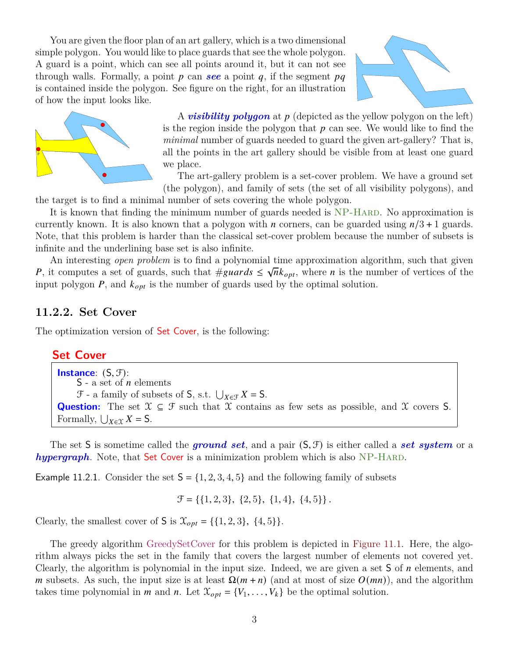You are given the floor plan of an art gallery, which is a two dimensional simple polygon. You would like to place guards that see the whole polygon. A guard is a point, which can see all points around it, but it can not see through walls. Formally, a point  $p$  can **see** a point  $q$ , if the segment  $pq$ is contained inside the polygon. See figure on the right, for an illustration of how the input looks like.





A *visibility polygon* at p (depicted as the yellow polygon on the left) is the region inside the polygon that  $p$  can see. We would like to find the *minimal* number of guards needed to guard the given art-gallery? That is, all the points in the art gallery should be visible from at least one guard we place.

The art-gallery problem is a set-cover problem. We have a ground set (the polygon), and family of sets (the set of all visibility polygons), and

the target is to find a minimal number of sets covering the whole polygon.

It is known that finding the minimum number of guards needed is NP-HARD. No approximation is currently known. It is also known that a polygon with *n* corners, can be guarded using  $n/3 + 1$  guards. Note, that this problem is harder than the classical set-cover problem because the number of subsets is infinite and the underlining base set is also infinite.

An interesting *open problem* is to find a polynomial time approximation algorithm, such that given √ P, it computes a set of guards, such that  $\# \text{guards} \leq \sqrt{n} k_{opt}$ , where n is the number of vertices of the input polygon  $P$ , and  $k_{opt}$  is the number of guards used by the optimal solution.

#### **11.2.2. Set Cover**

The optimization version of **Set Cover**, is the following:

#### **Set Cover**

**Instance**: (S, F):  $S$  - a set of *n* elements  $\mathcal{F}$  - a family of subsets of  $S$ , s.t.  $\bigcup_{X \in \mathcal{F}} X = S$ . **Question:** The set  $X \subseteq \mathcal{F}$  such that X contains as few sets as possible, and X covers S. Formally,  $\bigcup_{X \in \mathcal{X}} X = S$ .

The set S is sometime called the *ground set*, and a pair (S, F) is either called a *set system* or a *hypergraph*. Note, that Set Cover is a minimization problem which is also NP-HARD.

Example 11.2.1. Consider the set  $S = \{1, 2, 3, 4, 5\}$  and the following family of subsets

 $\mathcal{F} = \{ \{1, 2, 3\}, \{2, 5\}, \{1, 4\}, \{4, 5\} \}.$ 

Clearly, the smallest cover of **S** is  $\mathcal{X}_{opt} = \{\{1, 2, 3\}, \{4, 5\}\}.$ 

The greedy algorithm GreedySetCover for this problem is depicted in [Figure 11.1.](#page-3-0) Here, the algorithm always picks the set in the family that covers the largest number of elements not covered yet. Clearly, the algorithm is polynomial in the input size. Indeed, we are given a set  $S$  of  $n$  elements, and m subsets. As such, the input size is at least  $\Omega(m+n)$  (and at most of size  $O(mn)$ ), and the algorithm takes time polynomial in *m* and *n*. Let  $\mathcal{X}_{opt} = \{V_1, \ldots, V_k\}$  be the optimal solution.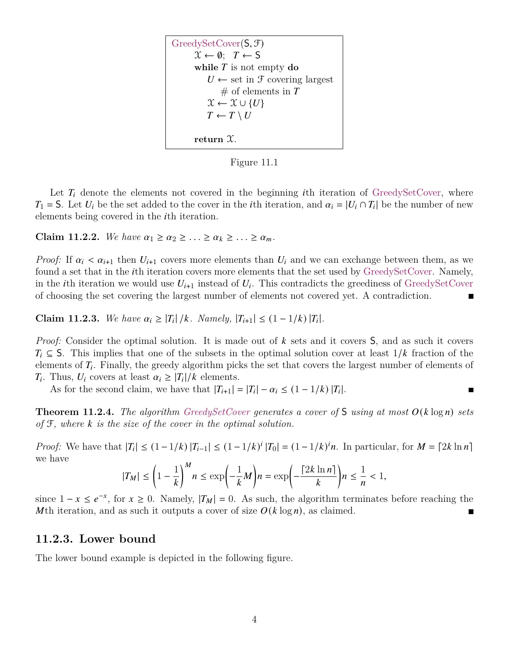<span id="page-3-0"></span>

Figure 11.1

Let  $T_i$  denote the elements not covered in the beginning ith iteration of GreedySetCover, where  $T_1 = S$ . Let  $U_i$  be the set added to the cover in the *i*th iteration, and  $\alpha_i = |U_i \cap T_i|$  be the number of new elements being covered in the *i*th iteration.

**Claim 11.2.2.** We have  $\alpha_1 \geq \alpha_2 \geq \ldots \geq \alpha_k \geq \ldots \geq \alpha_m$ .

*Proof:* If  $\alpha_i < \alpha_{i+1}$  then  $U_{i+1}$  covers more elements than  $U_i$  and we can exchange between them, as we found a set that in the *i*th iteration covers more elements that the set used by GreedySetCover. Namely, in the *i*th iteration we would use  $U_{i+1}$  instead of  $U_i$ . This contradicts the greediness of GreedySetCover of choosing the set covering the largest number of elements not covered yet. A contradiction.  $\blacksquare$ 

**Claim 11.2.3.** We have  $\alpha_i \geq |T_i|/k$ . Namely,  $|T_{i+1}| \leq (1 - 1/k) |T_i|$ .

*Proof:* Consider the optimal solution. It is made out of k sets and it covers S, and as such it covers  $T_i \subseteq S$ . This implies that one of the subsets in the optimal solution cover at least  $1/k$  fraction of the elements of  $T_i$ . Finally, the greedy algorithm picks the set that covers the largest number of elements of  $T_i$ . Thus,  $U_i$  covers at least  $\alpha_i \geq |T_i|/k$  elements.

As for the second claim, we have that  $|T_{i+1}| = |T_i| - \alpha_i \leq (1 - 1/k) |T_i|$ .

**Theorem 11.2.4.** *The algorithm GreedySetCover generates a cover of*  $S$  *using at most*  $O(k \log n)$  *sets of* F*, where is the size of the cover in the optimal solution.*

 $\blacksquare$ 

*Proof:* We have that  $|T_i| \leq (1 - 1/k) |T_{i-1}| \leq (1 - 1/k)^i |T_0| = (1 - 1/k)^i n$ . In particular, for  $M = \lfloor 2k \ln n \rfloor$ we have

$$
|T_M| \le \left(1-\frac{1}{k}\right)^M n \le \exp\left(-\frac{1}{k}M\right)n = \exp\left(-\frac{\lceil 2k \ln n \rceil}{k}\right)n \le \frac{1}{n} < 1,
$$

since  $1 - x \le e^{-x}$ , for  $x \ge 0$ . Namely,  $|T_M| = 0$ . As such, the algorithm terminates before reaching the Mth iteration, and as such it outputs a cover of size  $O(k \log n)$ , as claimed.

#### **11.2.3. Lower bound**

The lower bound example is depicted in the following figure.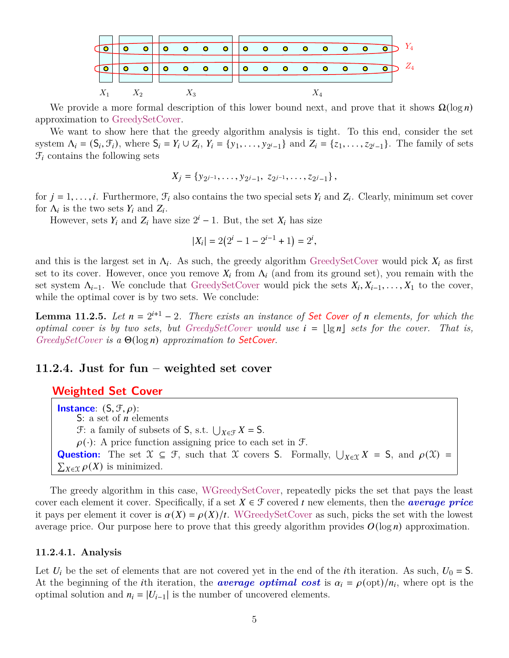

We provide a more formal description of this lower bound next, and prove that it shows  $\Omega(\log n)$ approximation to GreedySetCover.

We want to show here that the greedy algorithm analysis is tight. To this end, consider the set system  $\Lambda_i = (S_i, \mathcal{F}_i)$ , where  $S_i = Y_i \cup Z_i$ ,  $Y_i = \{y_1, \ldots, y_{2^i-1}\}\$  and  $Z_i = \{z_1, \ldots, z_{2^i-1}\}\$ . The family of sets  $\mathcal{F}_i$  contains the following sets

$$
X_j = \{y_{2j-1}, \ldots, y_{2j-1}, z_{2j-1}, \ldots, z_{2j-1}\},\,
$$

for  $j = 1, \ldots, i$ . Furthermore,  $\mathcal{F}_i$  also contains the two special sets  $Y_i$  and  $Z_i$ . Clearly, minimum set cover for  $\Lambda_i$  is the two sets  $Y_i$  and  $Z_i$ .

However, sets  $Y_i$  and  $Z_i$  have size  $2^i - 1$ . But, the set  $X_i$  has size

$$
|X_i| = 2(2^i - 1 - 2^{i-1} + 1) = 2^i,
$$

and this is the largest set in  $\Lambda_i$ . As such, the greedy algorithm GreedySetCover would pick  $X_i$  as first set to its cover. However, once you remove  $X_i$  from  $\Lambda_i$  (and from its ground set), you remain with the set system  $\Lambda_{i-1}$ . We conclude that GreedySetCover would pick the sets  $X_i, X_{i-1}, \ldots, X_1$  to the cover, while the optimal cover is by two sets. We conclude:

**Lemma 11.2.5.** Let  $n = 2^{i+1} - 2$ . There exists an instance of Set Cover of n elements, for which the *optimal cover is by two sets, but GreedySetCover would use*  $i = |\lg n|$  *sets for the cover. That is, GreedySetCover is a*  $\Theta(\log n)$  *approximation to SetCover.* 

#### **11.2.4. Just for fun – weighted set cover**

#### **Weighted Set Cover**

**Instance**:  $(S, \mathcal{F}, \rho)$ : S: a set of  $n$  elements  $\mathcal{F}:$  a family of subsets of S, s.t.  $\bigcup_{X \in \mathcal{F}} X = S$ .  $\rho(\cdot)$ : A price function assigning price to each set in  $\mathcal{F}$ . **Question:** The set  $X \subseteq \mathcal{F}$ , such that X covers S. Formally,  $\bigcup_{X \in \mathcal{X}} X = S$ , and  $\rho(\mathcal{X}) =$  $\sum_{X \in \mathcal{X}} \rho(X)$  is minimized.

The greedy algorithm in this case, WGreedySetCover, repeatedly picks the set that pays the least cover each element it cover. Specifically, if a set  $X \in \mathcal{F}$  covered t new elements, then the **average price** it pays per element it cover is  $\alpha(X) = \rho(X)/t$ . WGreedySetCover as such, picks the set with the lowest average price. Our purpose here to prove that this greedy algorithm provides  $O(\log n)$  approximation.

#### **11.2.4.1. Analysis**

Let  $U_i$  be the set of elements that are not covered yet in the end of the *i*th iteration. As such,  $U_0 = S$ . At the beginning of the *i*th iteration, the **average optimal cost** is  $\alpha_i = \rho(\text{opt})/n_i$ , where opt is the optimal solution and  $n_i = |U_{i-1}|$  is the number of uncovered elements.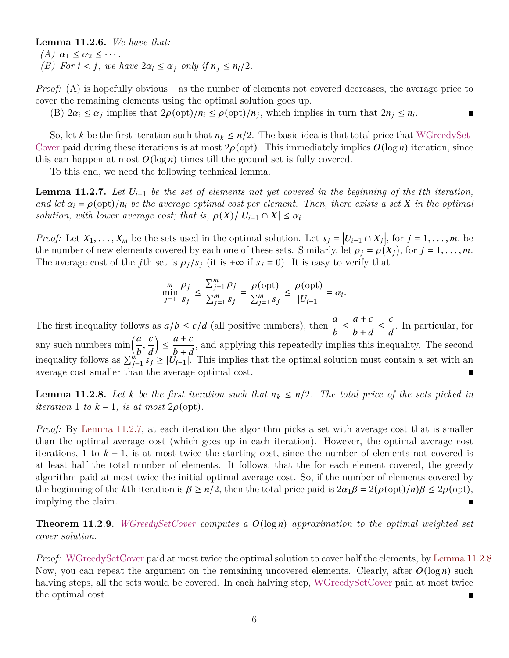#### **Lemma 11.2.6.** *We have that:*

- $(A)$   $\alpha_1 \leq \alpha_2 \leq \cdots$ .
- *(B) For*  $i < j$ *, we have*  $2\alpha_i \leq \alpha_j$  *only if*  $n_j \leq n_i/2$ *.*

*Proof:* (A) is hopefully obvious – as the number of elements not covered decreases, the average price to cover the remaining elements using the optimal solution goes up.

 $\blacksquare$ 

(B)  $2\alpha_i \leq \alpha_j$  implies that  $2\rho(\text{opt})/n_i \leq \rho(\text{opt})/n_j$ , which implies in turn that  $2n_i \leq n_i$ .

So, let k be the first iteration such that  $n_k \leq n/2$ . The basic idea is that total price that WGreedySet-Cover paid during these iterations is at most  $2\rho({\rm opt})$ . This immediately implies  $O(\log n)$  iteration, since this can happen at most  $O(\log n)$  times till the ground set is fully covered.

To this end, we need the following technical lemma.

<span id="page-5-0"></span>**Lemma 11.2.7.** Let  $U_{i-1}$  be the set of elements not yet covered in the beginning of the *i*th iteration, and let  $\alpha_i = \rho(\mathrm{opt})/n_i$  be the average optimal cost per element. Then, there exists a set X in the optimal *solution, with lower average cost; that is,*  $\rho(X)/|U_{i-1} \cap X| \leq \alpha_i$ .

*Proof:* Let  $X_1, \ldots, X_m$  be the sets used in the optimal solution. Let  $s_j = |U_{i-1} \cap X_j|$ , for  $j = 1, \ldots, m$ , be the number of new elements covered by each one of these sets. Similarly, let  $\rho_i = \rho(X_i)$ , for  $j = 1, \ldots, m$ . The average cost of the j<sup>th</sup> set is  $\rho_i / s_i$  (it is +∞ if  $s_i = 0$ ). It is easy to verify that

$$
\min_{j=1}^{m} \frac{\rho_j}{s_j} \le \frac{\sum_{j=1}^{m} \rho_j}{\sum_{j=1}^{m} s_j} = \frac{\rho(\text{opt})}{\sum_{j=1}^{m} s_j} \le \frac{\rho(\text{opt})}{|U_{i-1}|} = \alpha_i.
$$

The first inequality follows as  $a/b \le c/d$  (all positive numbers), then  $\frac{a}{b} \le$  $a + c$  $\frac{a+1}{b+d} \leq$  $\overline{c}$  $\frac{a}{d}$ . In particular, for any such numbers  $\min\left(\frac{a}{b}\right)$  $\overline{b}$ ,  $\overline{c}$  $\overline{d}$  ≤  $a + c$  $\frac{a+b}{b+d}$ , and applying this repeatedly implies this inequality. The second inequality follows as  $\sum_{j=1}^m s_j \ge |U_{i-1}|$ . This implies that the optimal solution must contain a set with an average cost smaller than the average optimal cost.

<span id="page-5-1"></span>**Lemma 11.2.8.** Let k be the first iteration such that  $n_k \leq n/2$ . The total price of the sets picked in *iteration* 1 *to*  $k - 1$ *, is at most* 2 $\rho$ (opt).

*Proof:* By [Lemma 11.2.7,](#page-5-0) at each iteration the algorithm picks a set with average cost that is smaller than the optimal average cost (which goes up in each iteration). However, the optimal average cost iterations, 1 to  $k - 1$ , is at most twice the starting cost, since the number of elements not covered is at least half the total number of elements. It follows, that the for each element covered, the greedy algorithm paid at most twice the initial optimal average cost. So, if the number of elements covered by the beginning of the k<sup>th</sup> iteration is  $\beta \ge n/2$ , then the total price paid is  $2\alpha_1 \beta = 2(\rho(\text{opt})/n)\beta \le 2\rho(\text{opt})$ , implying the claim.

**Theorem 11.2.9.** *WGreedySetCover computes* a  $O(\log n)$  *approximation to the optimal weighted set cover solution.*

*Proof:* WGreedySetCover paid at most twice the optimal solution to cover half the elements, by [Lemma 11.2.8.](#page-5-1) Now, you can repeat the argument on the remaining uncovered elements. Clearly, after  $O(\log n)$  such halving steps, all the sets would be covered. In each halving step, WGreedySetCover paid at most twice the optimal cost.  $\blacksquare$